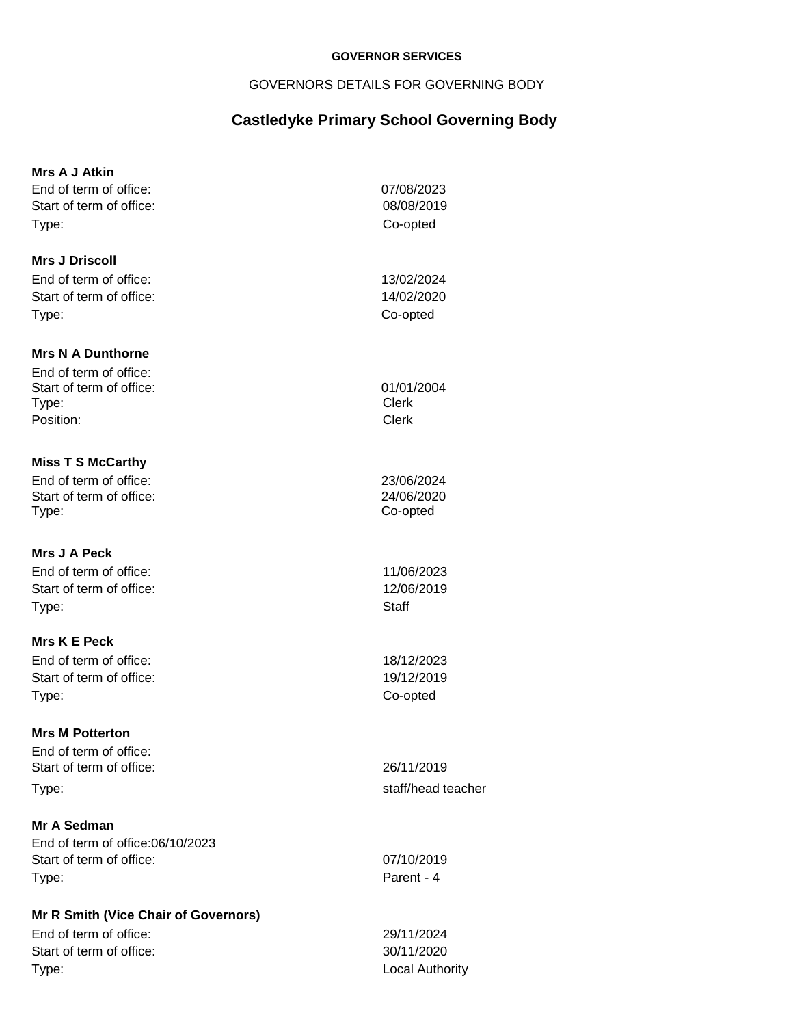#### **GOVERNOR SERVICES**

# GOVERNORS DETAILS FOR GOVERNING BODY

# **Castledyke Primary School Governing Body**

# **Mrs A J Atkin**

End of term of office: 07/08/2023 Start of term of office: 08/08/2019 Type: Co-opted

## **Mrs J Driscoll**

End of term of office: 13/02/2024 Start of term of office: 14/02/2020 Type: Co-opted

## **Mrs N A Dunthorne**

End of term of office: Start of term of office: 01/01/2004 Type: Clerk Position: Clerk

# **Miss T S McCarthy**

End of term of office: 23/06/2024 Start of term of office: 24/06/2020 Type: Co-opted

# **Mrs J A Peck**

Start of term of office: 12/06/2019 Type: Staff

# **Mrs K E Peck** End of term of office: 18/12/2023 Start of term of office: 19/12/2019

Type: Co-opted

# **Mrs M Potterton**

End of term of office: Start of term of office: 26/11/2019 Type: staff/head teacher

# **Mr A Sedman**

End of term of office:06/10/2023 Start of term of office: 07/10/2019 Type: Parent - 4

#### **Mr R Smith (Vice Chair of Governors)**

End of term of office: 29/11/2024 Start of term of office: 30/11/2020 Type: Local Authority

End of term of office: 11/06/2023